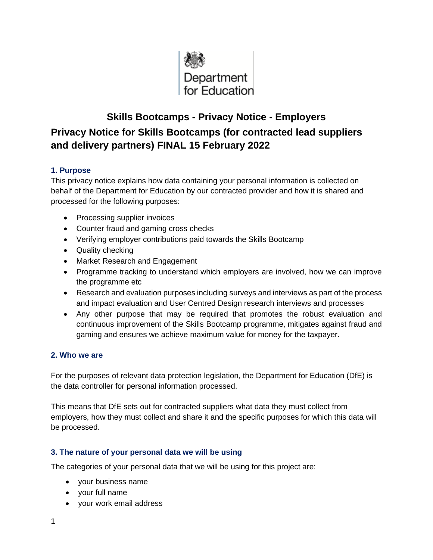

# **Skills Bootcamps - Privacy Notice - Employers Privacy Notice for Skills Bootcamps (for contracted lead suppliers and delivery partners) FINAL 15 February 2022**

## **1. Purpose**

This privacy notice explains how data containing your personal information is collected on behalf of the Department for Education by our contracted provider and how it is shared and processed for the following purposes:

- Processing supplier invoices
- Counter fraud and gaming cross checks
- Verifying employer contributions paid towards the Skills Bootcamp
- Quality checking
- Market Research and Engagement
- Programme tracking to understand which employers are involved, how we can improve the programme etc
- Research and evaluation purposes including surveys and interviews as part of the process and impact evaluation and User Centred Design research interviews and processes
- Any other purpose that may be required that promotes the robust evaluation and continuous improvement of the Skills Bootcamp programme, mitigates against fraud and gaming and ensures we achieve maximum value for money for the taxpayer.

## **2. Who we are**

For the purposes of relevant data protection legislation, the Department for Education (DfE) is the data controller for personal information processed.

This means that DfE sets out for contracted suppliers what data they must collect from employers, how they must collect and share it and the specific purposes for which this data will be processed.

## **3. The nature of your personal data we will be using**

The categories of your personal data that we will be using for this project are:

- your business name
- your full name
- your work email address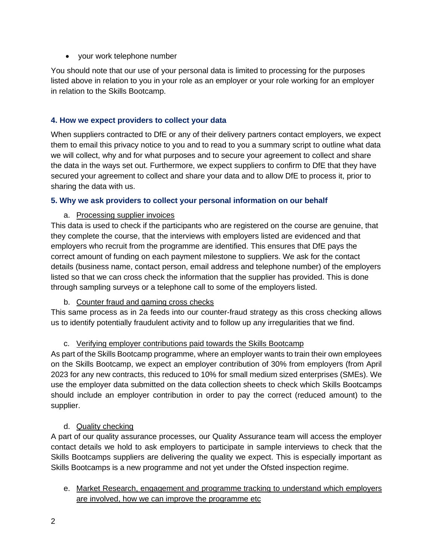• your work telephone number

You should note that our use of your personal data is limited to processing for the purposes listed above in relation to you in your role as an employer or your role working for an employer in relation to the Skills Bootcamp.

#### **4. How we expect providers to collect your data**

When suppliers contracted to DfE or any of their delivery partners contact employers, we expect them to email this privacy notice to you and to read to you a summary script to outline what data we will collect, why and for what purposes and to secure your agreement to collect and share the data in the ways set out. Furthermore, we expect suppliers to confirm to DfE that they have secured your agreement to collect and share your data and to allow DfE to process it, prior to sharing the data with us.

#### **5. Why we ask providers to collect your personal information on our behalf**

## a. Processing supplier invoices

This data is used to check if the participants who are registered on the course are genuine, that they complete the course, that the interviews with employers listed are evidenced and that employers who recruit from the programme are identified. This ensures that DfE pays the correct amount of funding on each payment milestone to suppliers. We ask for the contact details (business name, contact person, email address and telephone number) of the employers listed so that we can cross check the information that the supplier has provided. This is done through sampling surveys or a telephone call to some of the employers listed.

## b. Counter fraud and gaming cross checks

This same process as in 2a feeds into our counter-fraud strategy as this cross checking allows us to identify potentially fraudulent activity and to follow up any irregularities that we find.

## c. Verifying employer contributions paid towards the Skills Bootcamp

As part of the Skills Bootcamp programme, where an employer wants to train their own employees on the Skills Bootcamp, we expect an employer contribution of 30% from employers (from April 2023 for any new contracts, this reduced to 10% for small medium sized enterprises (SMEs). We use the employer data submitted on the data collection sheets to check which Skills Bootcamps should include an employer contribution in order to pay the correct (reduced amount) to the supplier.

## d. Quality checking

A part of our quality assurance processes, our Quality Assurance team will access the employer contact details we hold to ask employers to participate in sample interviews to check that the Skills Bootcamps suppliers are delivering the quality we expect. This is especially important as Skills Bootcamps is a new programme and not yet under the Ofsted inspection regime.

e. Market Research, engagement and programme tracking to understand which employers are involved, how we can improve the programme etc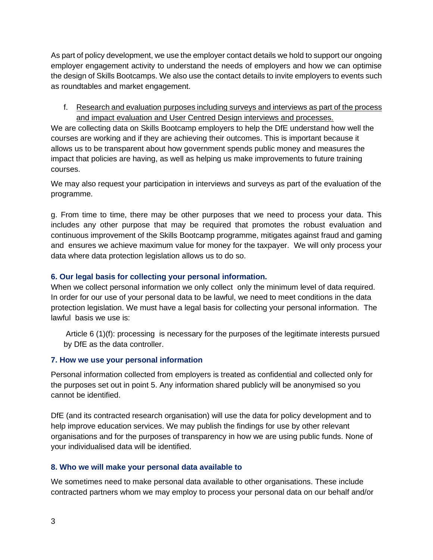As part of policy development, we use the employer contact details we hold to support our ongoing employer engagement activity to understand the needs of employers and how we can optimise the design of Skills Bootcamps. We also use the contact details to invite employers to events such as roundtables and market engagement.

f. Research and evaluation purposes including surveys and interviews as part of the process and impact evaluation and User Centred Design interviews and processes.

We are collecting data on Skills Bootcamp employers to help the DfE understand how well the courses are working and if they are achieving their outcomes. This is important because it allows us to be transparent about how government spends public money and measures the impact that policies are having, as well as helping us make improvements to future training courses.

We may also request your participation in interviews and surveys as part of the evaluation of the programme.

g. From time to time, there may be other purposes that we need to process your data. This includes any other purpose that may be required that promotes the robust evaluation and continuous improvement of the Skills Bootcamp programme, mitigates against fraud and gaming and ensures we achieve maximum value for money for the taxpayer. We will only process your data where data protection legislation allows us to do so.

## **6. Our legal basis for collecting your personal information.**

When we collect personal information we only collect only the minimum level of data required. In order for our use of your personal data to be lawful, we need to meet conditions in the data protection legislation. We must have a legal basis for collecting your personal information. The lawful basis we use is:

Article 6 (1)(f): processing is necessary for the purposes of the legitimate interests pursued by DfE as the data controller.

## **7. How we use your personal information**

Personal information collected from employers is treated as confidential and collected only for the purposes set out in point 5. Any information shared publicly will be anonymised so you cannot be identified.

DfE (and its contracted research organisation) will use the data for policy development and to help improve education services. We may publish the findings for use by other relevant organisations and for the purposes of transparency in how we are using public funds. None of your individualised data will be identified.

# **8. Who we will make your personal data available to**

We sometimes need to make personal data available to other organisations. These include contracted partners whom we may employ to process your personal data on our behalf and/or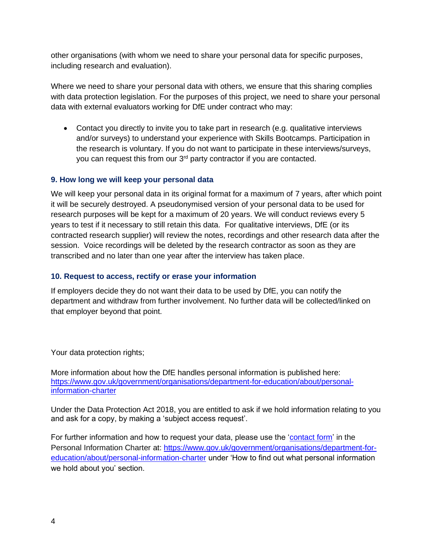other organisations (with whom we need to share your personal data for specific purposes, including research and evaluation).

Where we need to share your personal data with others, we ensure that this sharing complies with data protection legislation. For the purposes of this project, we need to share your personal data with external evaluators working for DfE under contract who may:

• Contact you directly to invite you to take part in research (e.g. qualitative interviews and/or surveys) to understand your experience with Skills Bootcamps. Participation in the research is voluntary. If you do not want to participate in these interviews/surveys, you can request this from our 3<sup>rd</sup> party contractor if you are contacted.

#### **9. How long we will keep your personal data**

We will keep your personal data in its original format for a maximum of 7 years, after which point it will be securely destroyed. A pseudonymised version of your personal data to be used for research purposes will be kept for a maximum of 20 years. We will conduct reviews every 5 years to test if it necessary to still retain this data. For qualitative interviews, DfE (or its contracted research supplier) will review the notes, recordings and other research data after the session. Voice recordings will be deleted by the research contractor as soon as they are transcribed and no later than one year after the interview has taken place.

#### **10. Request to access, rectify or erase your information**

If employers decide they do not want their data to be used by DfE, you can notify the department and withdraw from further involvement. No further data will be collected/linked on that employer beyond that point.

Your data protection rights;

More information about how the DfE handles personal information is published here: [https://www.gov.uk/government/organisations/department-for-education/about/personal](https://www.gov.uk/government/organisations/department-for-education/about/personal-information-charter)[information-charter](https://www.gov.uk/government/organisations/department-for-education/about/personal-information-charter)

Under the Data Protection Act 2018, you are entitled to ask if we hold information relating to you and ask for a copy, by making a 'subject access request'.

For further information and how to request your data, please use the ['contact form'](https://form.education.gov.uk/service/Contact_the_Department_for_Education) in the Personal Information Charter at: [https://www.gov.uk/government/organisations/department-for](https://www.gov.uk/government/organisations/department-for-education/about/personal-information-charter)[education/about/personal-information-charter](https://www.gov.uk/government/organisations/department-for-education/about/personal-information-charter) under 'How to find out what personal information we hold about you' section.